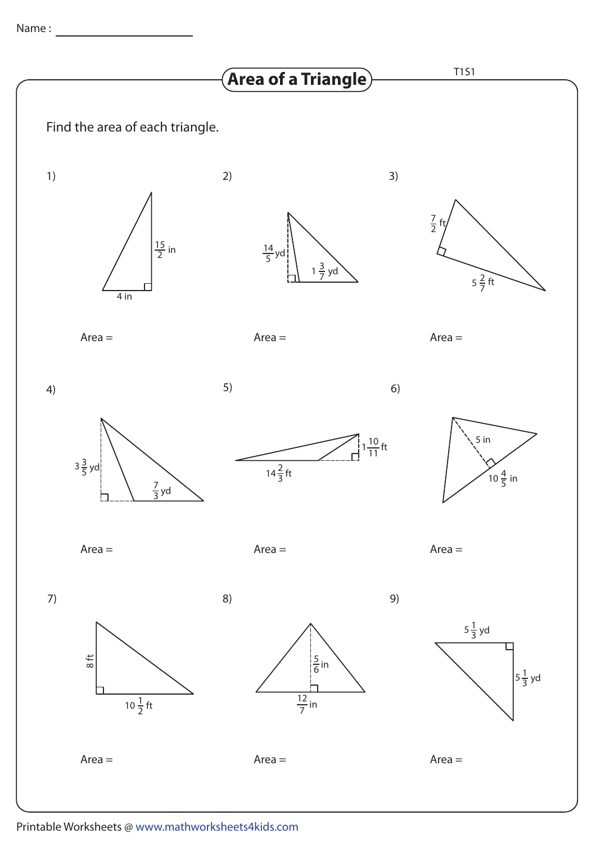